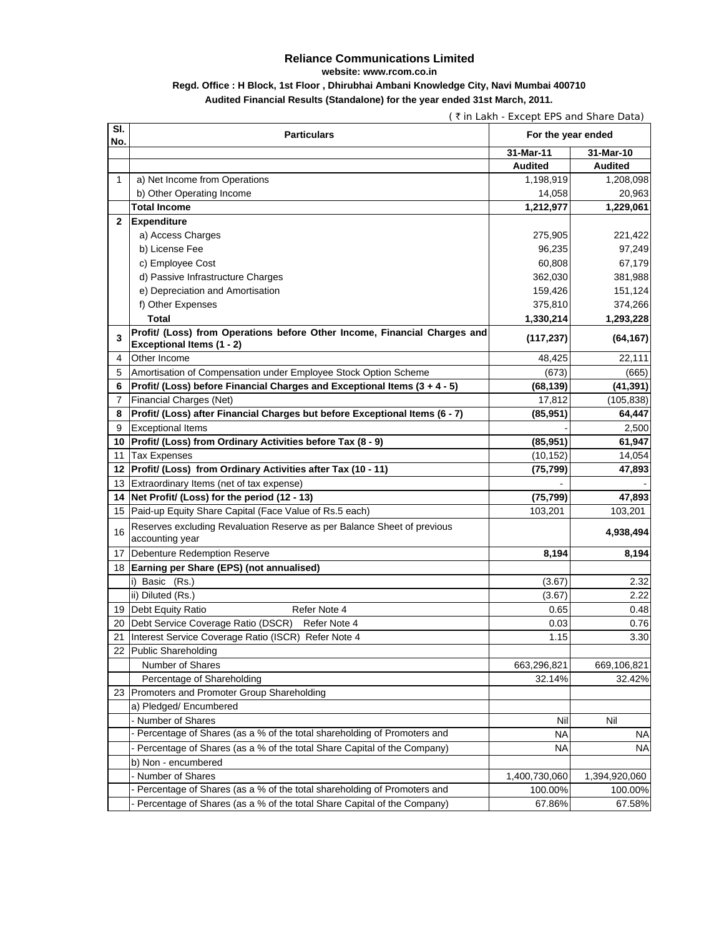## **Reliance Communications Limited**

**website: www.rcom.co.in**

## **Regd. Office : H Block, 1st Floor , Dhirubhai Ambani Knowledge City, Navi Mumbai 400710 Audited Financial Results (Standalone) for the year ended 31st March, 2011.**

|              | (₹in Lakh - Except EPS and Share Data)                                                                  |                        |                   |  |
|--------------|---------------------------------------------------------------------------------------------------------|------------------------|-------------------|--|
| SI.<br>No.   | <b>Particulars</b>                                                                                      | For the year ended     |                   |  |
|              |                                                                                                         | 31-Mar-11              | 31-Mar-10         |  |
|              |                                                                                                         | <b>Audited</b>         | <b>Audited</b>    |  |
| $\mathbf{1}$ | a) Net Income from Operations                                                                           | 1,198,919              | 1,208,098         |  |
|              | b) Other Operating Income                                                                               | 14,058                 | 20,963            |  |
|              | <b>Total Income</b>                                                                                     | 1,212,977              | 1,229,061         |  |
| $\mathbf{2}$ | <b>Expenditure</b>                                                                                      |                        |                   |  |
|              | a) Access Charges                                                                                       | 275,905                | 221,422           |  |
|              | b) License Fee                                                                                          | 96,235                 | 97,249            |  |
|              | c) Employee Cost                                                                                        | 60,808                 | 67,179            |  |
|              | d) Passive Infrastructure Charges                                                                       | 362,030                | 381,988           |  |
|              | e) Depreciation and Amortisation                                                                        | 159,426                | 151,124           |  |
|              | f) Other Expenses                                                                                       | 375,810                | 374,266           |  |
|              | <b>Total</b>                                                                                            | 1,330,214              | 1,293,228         |  |
| 3            | Profit/ (Loss) from Operations before Other Income, Financial Charges and                               | (117, 237)             | (64, 167)         |  |
| 4            | Exceptional Items (1 - 2)<br>Other Income                                                               | 48,425                 | 22,111            |  |
| 5            | Amortisation of Compensation under Employee Stock Option Scheme                                         |                        |                   |  |
| 6            | Profit/ (Loss) before Financial Charges and Exceptional Items (3 + 4 - 5)                               | (673)                  | (665)             |  |
|              |                                                                                                         | (68, 139)              | (41,391)          |  |
| 7            | Financial Charges (Net)                                                                                 | 17,812<br>(85, 951)    | (105, 838)        |  |
| 8<br>9       | Profit/ (Loss) after Financial Charges but before Exceptional Items (6 - 7)<br><b>Exceptional Items</b> |                        | 64,447            |  |
| 10           | Profit/ (Loss) from Ordinary Activities before Tax (8 - 9)                                              | (85, 951)              | 2,500<br>61,947   |  |
|              |                                                                                                         |                        |                   |  |
| 11           | <b>Tax Expenses</b><br>Profit/ (Loss) from Ordinary Activities after Tax (10 - 11)                      | (10, 152)<br>(75, 799) | 14,054<br>47,893  |  |
| 12<br>13     | Extraordinary Items (net of tax expense)                                                                |                        |                   |  |
| 14           | Net Profit/ (Loss) for the period (12 - 13)                                                             | (75, 799)              |                   |  |
| 15           | Paid-up Equity Share Capital (Face Value of Rs.5 each)                                                  | 103,201                | 47,893<br>103,201 |  |
|              |                                                                                                         |                        |                   |  |
| 16           | Reserves excluding Revaluation Reserve as per Balance Sheet of previous<br>accounting year              |                        | 4,938,494         |  |
| 17           | Debenture Redemption Reserve                                                                            | 8,194                  | 8,194             |  |
|              | 18 Earning per Share (EPS) (not annualised)                                                             |                        |                   |  |
|              | i) Basic (Rs.)                                                                                          | (3.67)                 | 2.32              |  |
|              | ii) Diluted (Rs.)                                                                                       | (3.67)                 | 2.22              |  |
|              | 19 Debt Equity Ratio<br>Refer Note 4                                                                    | 0.65                   | 0.48              |  |
| 20           | Debt Service Coverage Ratio (DSCR)<br>Refer Note 4                                                      | 0.03                   | 0.76              |  |
| 21           | Interest Service Coverage Ratio (ISCR) Refer Note 4                                                     | 1.15                   | 3.30              |  |
| 22           | <b>Public Shareholding</b>                                                                              |                        |                   |  |
|              | Number of Shares                                                                                        | 663,296,821            | 669,106,821       |  |
|              | Percentage of Shareholding                                                                              | 32.14%                 | 32.42%            |  |
| 23           | Promoters and Promoter Group Shareholding                                                               |                        |                   |  |
|              | a) Pledged/ Encumbered                                                                                  |                        |                   |  |
|              | - Number of Shares                                                                                      | Nil                    | Nil               |  |
|              | Percentage of Shares (as a % of the total shareholding of Promoters and                                 | <b>NA</b>              | <b>NA</b>         |  |
|              | Percentage of Shares (as a % of the total Share Capital of the Company)                                 | ΝA                     | <b>NA</b>         |  |
|              | b) Non - encumbered                                                                                     |                        |                   |  |
|              | - Number of Shares                                                                                      | 1,400,730,060          | 1,394,920,060     |  |
|              | Percentage of Shares (as a % of the total shareholding of Promoters and                                 | 100.00%                | 100.00%           |  |
|              | Percentage of Shares (as a % of the total Share Capital of the Company)                                 | 67.86%                 | 67.58%            |  |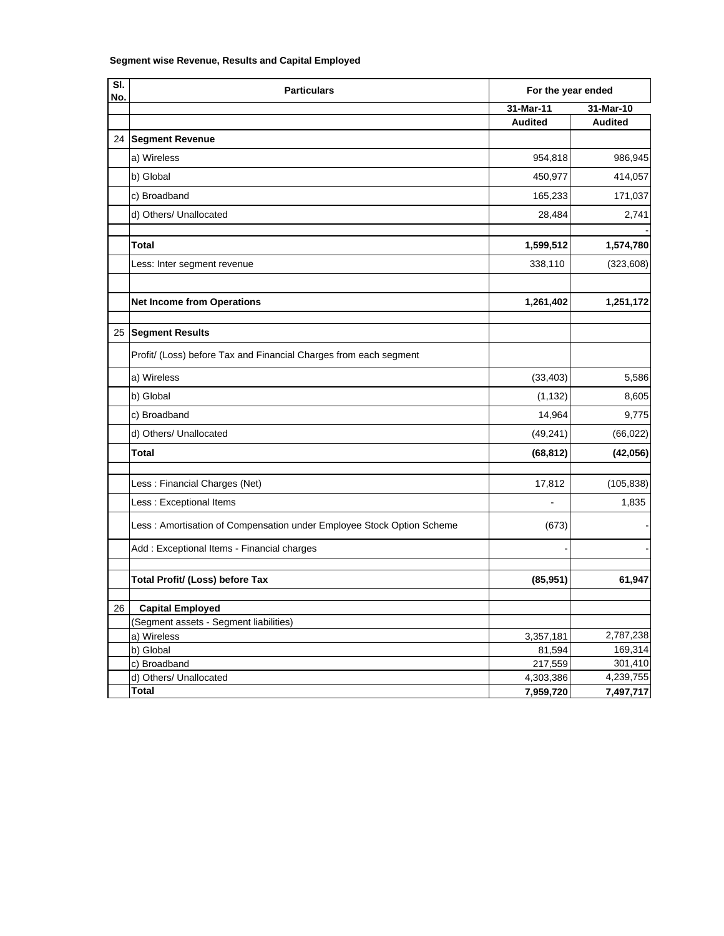## **Segment wise Revenue, Results and Capital Employed**

| SI.<br>No. | <b>Particulars</b>                                                    | For the year ended |                |
|------------|-----------------------------------------------------------------------|--------------------|----------------|
|            |                                                                       | 31-Mar-11          | 31-Mar-10      |
|            |                                                                       | <b>Audited</b>     | <b>Audited</b> |
|            | 24 Segment Revenue                                                    |                    |                |
|            | a) Wireless                                                           | 954,818            | 986,945        |
|            | b) Global                                                             | 450,977            | 414,057        |
|            | c) Broadband                                                          | 165,233            | 171,037        |
|            | d) Others/ Unallocated                                                | 28,484             | 2,741          |
|            | <b>Total</b>                                                          | 1,599,512          | 1,574,780      |
|            | Less: Inter segment revenue                                           | 338,110            | (323, 608)     |
|            | <b>Net Income from Operations</b>                                     | 1,261,402          | 1,251,172      |
|            |                                                                       |                    |                |
|            | 25 Segment Results                                                    |                    |                |
|            | Profit/ (Loss) before Tax and Financial Charges from each segment     |                    |                |
|            | a) Wireless                                                           | (33, 403)          | 5,586          |
|            | b) Global                                                             | (1, 132)           | 8,605          |
|            | c) Broadband                                                          | 14,964             | 9,775          |
|            | d) Others/ Unallocated                                                | (49, 241)          | (66, 022)      |
|            | <b>Total</b>                                                          | (68, 812)          | (42, 056)      |
|            | Less: Financial Charges (Net)                                         | 17,812             | (105, 838)     |
|            | Less: Exceptional Items                                               | L.                 | 1,835          |
|            | Less: Amortisation of Compensation under Employee Stock Option Scheme | (673)              |                |
|            | Add: Exceptional Items - Financial charges                            |                    |                |
|            | <b>Total Profit/ (Loss) before Tax</b>                                | (85, 951)          | 61,947         |
| 26         | <b>Capital Employed</b>                                               |                    |                |
|            | (Segment assets - Segment liabilities)                                |                    |                |
|            | a) Wireless                                                           | 3,357,181          | 2,787,238      |
|            | b) Global                                                             | 81,594             | 169,314        |
|            | c) Broadband                                                          | 217,559            | 301,410        |
|            | d) Others/ Unallocated                                                | 4,303,386          | 4,239,755      |
|            | <b>Total</b>                                                          | 7,959,720          | 7,497,717      |